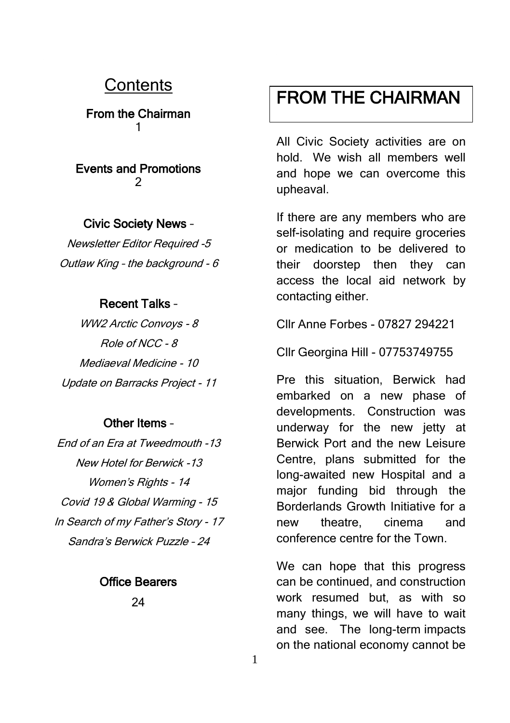### **Contents**

From the Chairman 1

### Events and Promotions  $\mathfrak{p}$

### Civic Society News –

Newsletter Editor Required -5 Outlaw King – the background - 6

### Recent Talks –

WW2 Arctic Convoys - 8 Role of NCC - 8 Mediaeval Medicine - 10 Update on Barracks Project - 11

### Other Items –

End of an Era at Tweedmouth -13 New Hotel for Berwick -13 Women's Rights - 14 Covid 19 & Global Warming - 15 In Search of my Father's Story - 17 Sandra's Berwick Puzzle – 24

### Office Bearers

 $24$ 

## FROM THE CHAIRMAN

All Civic Society activities are on hold. We wish all members well and hope we can overcome this upheaval.

If there are any members who are self-isolating and require groceries or medication to be delivered to their doorstep then they can access the local aid network by contacting either.

Cllr Anne Forbes - 07827 294221

Cllr Georgina Hill - 07753749755

Pre this situation, Berwick had embarked on a new phase of developments. Construction was underway for the new jetty at Berwick Port and the new Leisure Centre, plans submitted for the long-awaited new Hospital and a major funding bid through the Borderlands Growth Initiative for a new theatre, cinema and conference centre for the Town.

We can hope that this progress can be continued, and construction work resumed but, as with so many things, we will have to wait and see. The long-term impacts on the national economy cannot be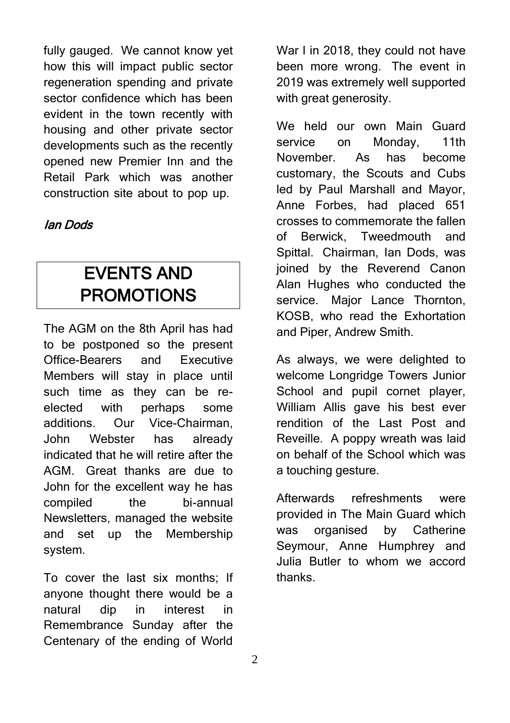fully gauged. We cannot know yet how this will impact public sector regeneration spending and private sector confidence which has been evident in the town recently with housing and other private sector developments such as the recently opened new Premier Inn and the Retail Park which was another construction site about to pop up.

### Ian Dods

## EVENTS AND PROMOTIONS

The AGM on the 8th April has had to be postponed so the present Office-Bearers and Executive Members will stay in place until such time as they can be reelected with perhaps some additions. Our Vice-Chairman, John Webster has already indicated that he will retire after the AGM. Great thanks are due to John for the excellent way he has compiled the bi-annual Newsletters, managed the website and set up the Membership system.

To cover the last six months; If anyone thought there would be a natural dip in interest in Remembrance Sunday after the Centenary of the ending of World

War I in 2018, they could not have been more wrong. The event in 2019 was extremely well supported with great generosity.

We held our own Main Guard service on Monday, 11th November. As has become customary, the Scouts and Cubs led by Paul Marshall and Mayor, Anne Forbes, had placed 651 crosses to commemorate the fallen of Berwick, Tweedmouth and Spittal. Chairman, Ian Dods, was joined by the Reverend Canon Alan Hughes who conducted the service. Major Lance Thornton. KOSB, who read the Exhortation and Piper, Andrew Smith.

As always, we were delighted to welcome Longridge Towers Junior School and pupil cornet player, William Allis gave his best ever rendition of the Last Post and Reveille. A poppy wreath was laid on behalf of the School which was a touching gesture.

Afterwards refreshments were provided in The Main Guard which was organised by Catherine Seymour, Anne Humphrey and Julia Butler to whom we accord thanks.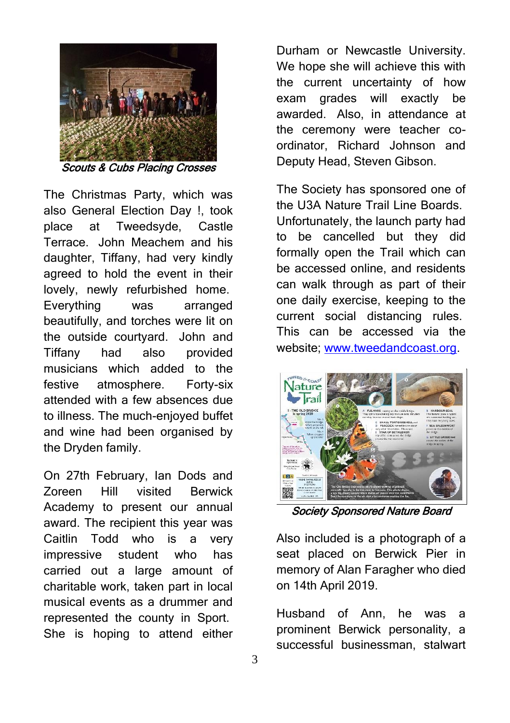

The Christmas Party, which was also General Election Day !, took place at Tweedsyde, Castle Terrace. John Meachem and his daughter, Tiffany, had very kindly agreed to hold the event in their lovely, newly refurbished home. Everything was arranged beautifully, and torches were lit on the outside courtyard. John and Tiffany had also provided musicians which added to the festive atmosphere. Forty-six attended with a few absences due to illness. The much-enjoyed buffet and wine had been organised by the Dryden family.

On 27th February, Ian Dods and Zoreen Hill visited Berwick Academy to present our annual award. The recipient this year was Caitlin Todd who is a very impressive student who has carried out a large amount of charitable work, taken part in local musical events as a drummer and represented the county in Sport. She is hoping to attend either

Durham or Newcastle University. We hope she will achieve this with the current uncertainty of how exam grades will exactly be awarded. Also, in attendance at the ceremony were teacher coordinator, Richard Johnson and Deputy Head, Steven Gibson.

The Society has sponsored one of the U3A Nature Trail Line Boards. Unfortunately, the launch party had to be cancelled but they did formally open the Trail which can be accessed online, and residents can walk through as part of their one daily exercise, keeping to the current social distancing rules. This can be accessed via the website; [www.tweedandcoast.org.](http://www.tweedandcoast.org/)



Society Sponsored Nature Board

Also included is a photograph of a seat placed on Berwick Pier in memory of Alan Faragher who died on 14th April 2019.

Husband of Ann, he was a prominent Berwick personality, a successful businessman, stalwart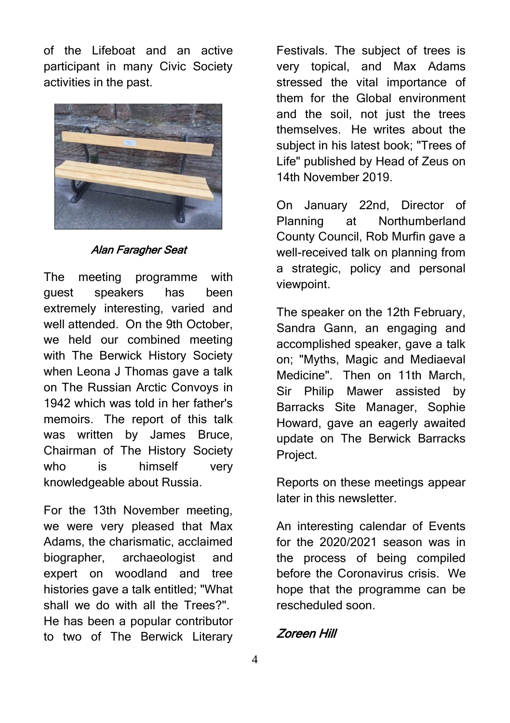of the Lifeboat and an active participant in many Civic Society activities in the past.



#### Alan Faragher Seat

The meeting programme with guest speakers has been extremely interesting, varied and well attended. On the 9th October, we held our combined meeting with The Berwick History Society when Leona J Thomas gave a talk on The Russian Arctic Convoys in 1942 which was told in her father's memoirs. The report of this talk was written by James Bruce, Chairman of The History Society who is himself very knowledgeable about Russia.

For the 13th November meeting, we were very pleased that Max Adams, the charismatic, acclaimed biographer, archaeologist and expert on woodland and tree histories gave a talk entitled; "What shall we do with all the Trees?". He has been a popular contributor to two of The Berwick Literary

Festivals. The subject of trees is very topical, and Max Adams stressed the vital importance of them for the Global environment and the soil, not just the trees themselves. He writes about the subject in his latest book; "Trees of Life" published by Head of Zeus on 14th November 2019.

On January 22nd, Director of Planning at Northumberland County Council, Rob Murfin gave a well-received talk on planning from a strategic, policy and personal viewpoint.

The speaker on the 12th February, Sandra Gann, an engaging and accomplished speaker, gave a talk on; "Myths, Magic and Mediaeval Medicine". Then on 11th March, Sir Philip Mawer assisted by Barracks Site Manager, Sophie Howard, gave an eagerly awaited update on The Berwick Barracks Project.

Reports on these meetings appear later in this newsletter.

An interesting calendar of Events for the 2020/2021 season was in the process of being compiled before the Coronavirus crisis. We hope that the programme can be rescheduled soon.

Zoreen Hill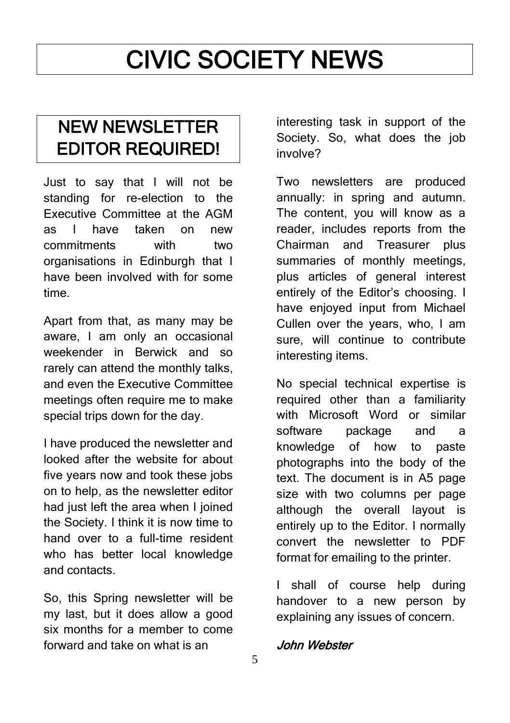# CIVIC SOCIETY NEWS

## NEW NEWSLETTER EDITOR REQUIRED!

Just to say that I will not be standing for re-election to the Executive Committee at the AGM as I have taken on new commitments with two organisations in Edinburgh that I have been involved with for some time.

Apart from that, as many may be aware, I am only an occasional weekender in Berwick and so rarely can attend the monthly talks, and even the Executive Committee meetings often require me to make special trips down for the day.

I have produced the newsletter and looked after the website for about five years now and took these jobs on to help, as the newsletter editor had just left the area when I joined the Society. I think it is now time to hand over to a full-time resident who has better local knowledge and contacts.

So, this Spring newsletter will be my last, but it does allow a good six months for a member to come forward and take on what is an

interesting task in support of the Society. So, what does the iob involve?

Two newsletters are produced annually: in spring and autumn. The content, you will know as a reader, includes reports from the Chairman and Treasurer plus summaries of monthly meetings, plus articles of general interest entirely of the Editor's choosing. I have enjoyed input from Michael Cullen over the years, who, I am sure, will continue to contribute interesting items.

No special technical expertise is required other than a familiarity with Microsoft Word or similar software package and a knowledge of how to paste photographs into the body of the text. The document is in A5 page size with two columns per page although the overall layout is entirely up to the Editor. I normally convert the newsletter to PDF format for emailing to the printer.

I shall of course help during handover to a new person by explaining any issues of concern.

### John Webster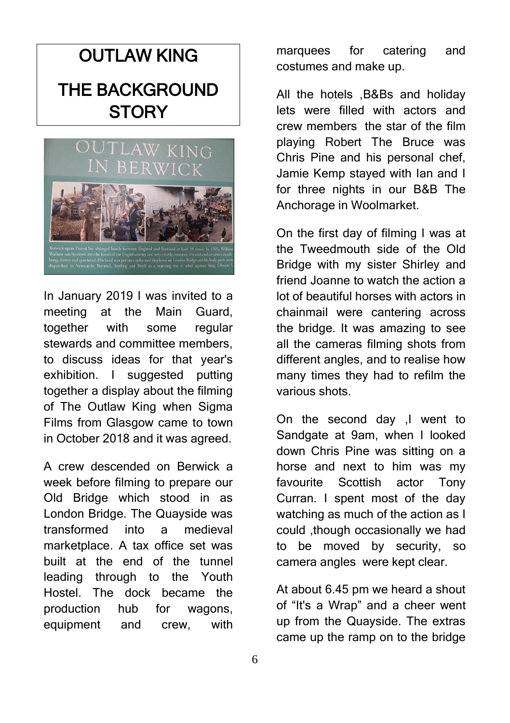## **OUTLAW KING** THE BACKGROUND **STORY**



In January 2019 I was invited to a meeting at the Main Guard, together with some regular stewards and committee members, to discuss ideas for that year's exhibition. I suggested putting together a display about the filming of The Outlaw King when Sigma Films from Glasgow came to town in October 2018 and it was agreed.

A crew descended on Berwick a week before filming to prepare our Old Bridge which stood in as London Bridge. The Quayside was transformed into a medieval marketplace. A tax office set was built at the end of the tunnel leading through to the Youth Hostel. The dock became the production hub for wagons, equipment and crew, with

marquees for catering and costumes and make up.

All the hotels ,B&Bs and holiday lets were filled with actors and crew members the star of the film playing Robert The Bruce was Chris Pine and his personal chef, Jamie Kemp stayed with Ian and I for three nights in our B&B The Anchorage in Woolmarket.

On the first day of filming I was at the Tweedmouth side of the Old Bridge with my sister Shirley and friend Joanne to watch the action a lot of beautiful horses with actors in chainmail were cantering across the bridge. It was amazing to see all the cameras filming shots from different angles, and to realise how many times they had to refilm the various shots.

On the second day ,I went to Sandgate at 9am, when I looked down Chris Pine was sitting on a horse and next to him was my favourite Scottish actor Tony Curran. I spent most of the day watching as much of the action as I could ,though occasionally we had to be moved by security, so camera angles were kept clear.

At about 6.45 pm we heard a shout of "It's a Wrap" and a cheer went up from the Quayside. The extras came up the ramp on to the bridge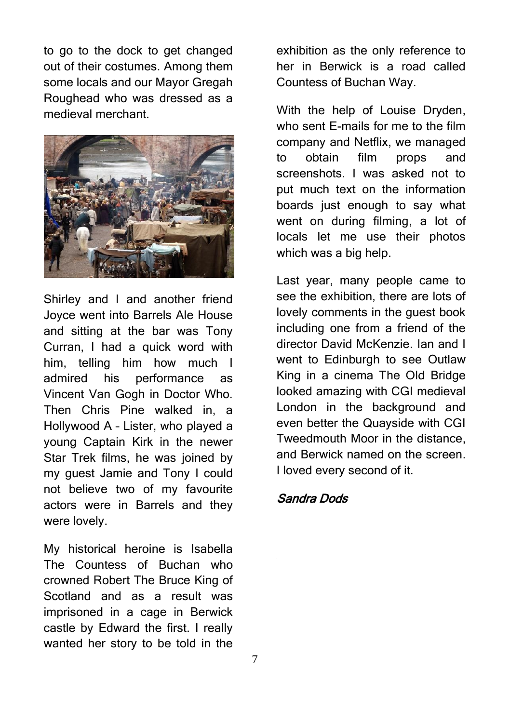to go to the dock to get changed out of their costumes. Among them some locals and our Mayor Gregah Roughead who was dressed as a medieval merchant.



Shirley and I and another friend Joyce went into Barrels Ale House and sitting at the bar was Tony Curran, I had a quick word with him, telling him how much I admired his performance as Vincent Van Gogh in Doctor Who. Then Chris Pine walked in, a Hollywood A – Lister, who played a young Captain Kirk in the newer Star Trek films, he was joined by my guest Jamie and Tony I could not believe two of my favourite actors were in Barrels and they were lovely.

My historical heroine is Isabella The Countess of Buchan who crowned Robert The Bruce King of Scotland and as a result was imprisoned in a cage in Berwick castle by Edward the first. I really wanted her story to be told in the

exhibition as the only reference to her in Berwick is a road called Countess of Buchan Way.

With the help of Louise Dryden, who sent E-mails for me to the film company and Netflix, we managed to obtain film props and screenshots. I was asked not to put much text on the information boards just enough to say what went on during filming, a lot of locals let me use their photos which was a big help.

Last year, many people came to see the exhibition, there are lots of lovely comments in the guest book including one from a friend of the director David McKenzie. Ian and I went to Edinburgh to see Outlaw King in a cinema The Old Bridge looked amazing with CGI medieval London in the background and even better the Quayside with CGI Tweedmouth Moor in the distance, and Berwick named on the screen. I loved every second of it.

### Sandra Dods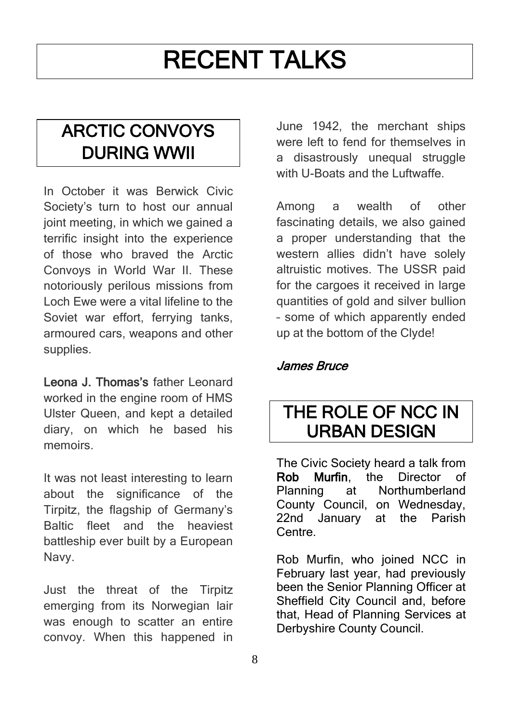## RECENT TALKS

## ARCTIC CONVOYS DURING WWII

In October it was Berwick Civic Society's turn to host our annual joint meeting, in which we gained a terrific insight into the experience of those who braved the Arctic Convoys in World War II. These notoriously perilous missions from Loch Ewe were a vital lifeline to the Soviet war effort, ferrying tanks, armoured cars, weapons and other supplies.

Leona J. Thomas's father Leonard worked in the engine room of HMS Ulster Queen, and kept a detailed diary, on which he based his memoirs.

It was not least interesting to learn about the significance of the Tirpitz, the flagship of Germany's Baltic fleet and the heaviest battleship ever built by a European Navy.

Just the threat of the Tirpitz emerging from its Norwegian lair was enough to scatter an entire convoy. When this happened in June 1942, the merchant ships were left to fend for themselves in a disastrously unequal struggle with U-Boats and the Luftwaffe.

Among a wealth of other fascinating details, we also gained a proper understanding that the western allies didn't have solely altruistic motives. The USSR paid for the cargoes it received in large quantities of gold and silver bullion – some of which apparently ended up at the bottom of the Clyde!

James Bruce

### THE ROLE OF NCC IN URBAN DESIGN

The Civic Society heard a talk from<br> **Rob** Murfin the Director of Rob Murfin, the Director of Planning at Northumberland County Council, on Wednesday, 22nd January at the Parish Centre.

Rob Murfin, who joined NCC in February last year, had previously been the Senior Planning Officer at Sheffield City Council and, before that, Head of Planning Services at Derbyshire County Council.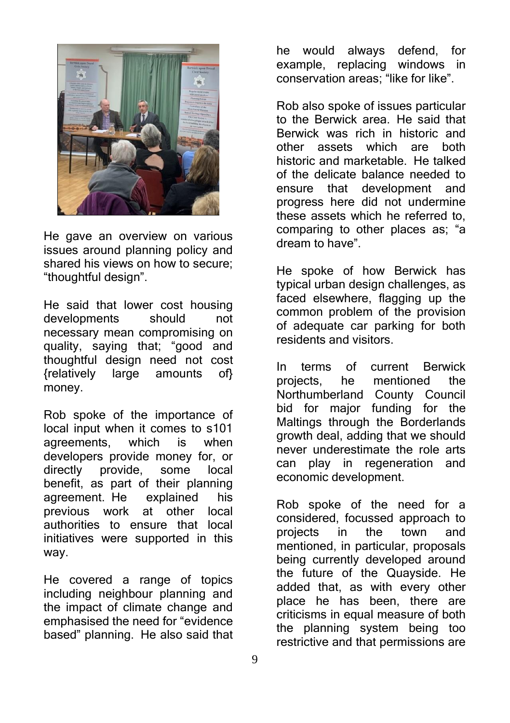

He gave an overview on various issues around planning policy and shared his views on how to secure; "thoughtful design".

He said that lower cost housing developments should not necessary mean compromising on quality, saying that; "good and thoughtful design need not cost {relatively large amounts of} money.

Rob spoke of the importance of local input when it comes to s101 agreements, which is when developers provide money for, or directly provide, some local benefit, as part of their planning agreement. He explained his previous work at other local authorities to ensure that local initiatives were supported in this way.

He covered a range of topics including neighbour planning and the impact of climate change and emphasised the need for "evidence based" planning. He also said that

he would always defend, for example, replacing windows in conservation areas; "like for like".

Rob also spoke of issues particular to the Berwick area. He said that Berwick was rich in historic and other assets which are both historic and marketable. He talked of the delicate balance needed to ensure that development and progress here did not undermine these assets which he referred to, comparing to other places as; "a dream to have".

He spoke of how Berwick has typical urban design challenges, as faced elsewhere, flagging up the common problem of the provision of adequate car parking for both residents and visitors.

In terms of current Berwick projects, he mentioned the Northumberland County Council bid for major funding for the Maltings through the Borderlands growth deal, adding that we should never underestimate the role arts can play in regeneration and economic development.

Rob spoke of the need for a considered, focussed approach to projects in the town and mentioned, in particular, proposals being currently developed around the future of the Quayside. He added that, as with every other place he has been, there are criticisms in equal measure of both the planning system being too restrictive and that permissions are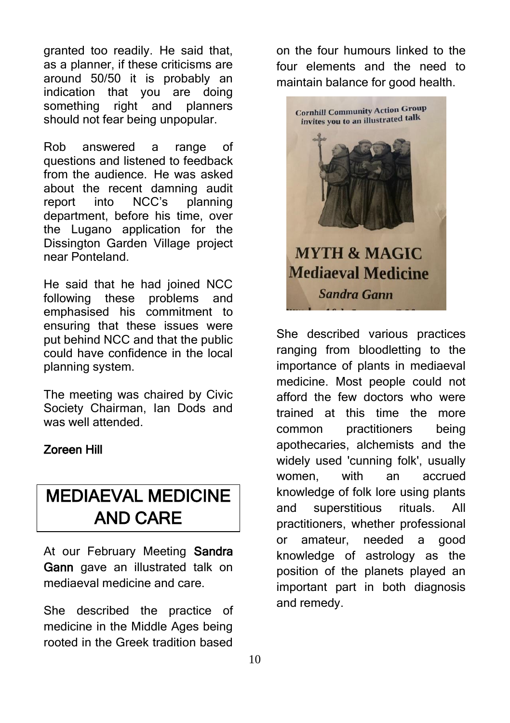granted too readily. He said that, as a planner, if these criticisms are around 50/50 it is probably an indication that you are doing something right and planners should not fear being unpopular.

Rob answered a range of questions and listened to feedback from the audience. He was asked about the recent damning audit report into NCC's planning department, before his time, over the Lugano application for the Dissington Garden Village project near Ponteland.

He said that he had joined NCC following these problems and emphasised his commitment to ensuring that these issues were put behind NCC and that the public could have confidence in the local planning system.

The meeting was chaired by Civic Society Chairman, Ian Dods and was well attended.

### Zoreen Hill

## MEDIAEVAL MEDICINE AND CARE

At our February Meeting Sandra Gann gave an illustrated talk on mediaeval medicine and care.

She described the practice of medicine in the Middle Ages being rooted in the Greek tradition based

on the four humours linked to the four elements and the need to maintain balance for good health.



She described various practices ranging from bloodletting to the importance of plants in mediaeval medicine. Most people could not afford the few doctors who were trained at this time the more common practitioners being apothecaries, alchemists and the widely used 'cunning folk', usually women, with an accrued knowledge of folk lore using plants and superstitious rituals. All practitioners, whether professional or amateur, needed a good knowledge of astrology as the position of the planets played an important part in both diagnosis and remedy.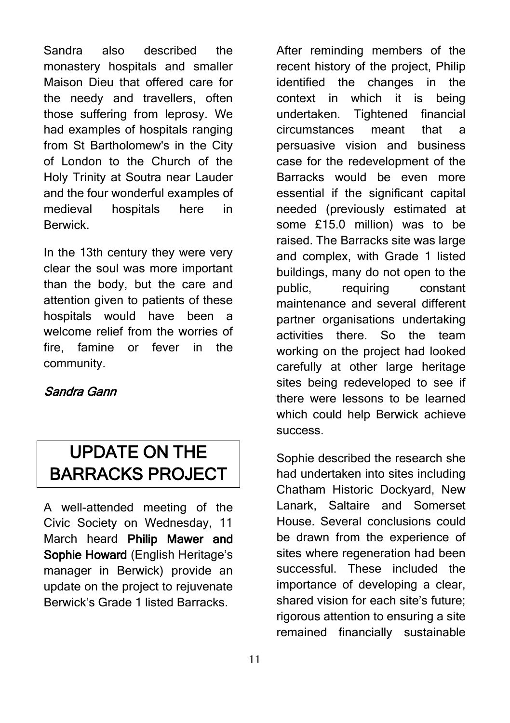Sandra also described the monastery hospitals and smaller Maison Dieu that offered care for the needy and travellers, often those suffering from leprosy. We had examples of hospitals ranging from St Bartholomew's in the City of London to the Church of the Holy Trinity at Soutra near Lauder and the four wonderful examples of medieval hospitals here in Berwick.

In the 13th century they were very clear the soul was more important than the body, but the care and attention given to patients of these hospitals would have been a welcome relief from the worries of fire, famine or fever in the community.

### Sandra Gann

## UPDATE ON THE BARRACKS PROJECT

A well-attended meeting of the Civic Society on Wednesday, 11 March heard Philip Mawer and Sophie Howard (English Heritage's manager in Berwick) provide an update on the project to rejuvenate Berwick's Grade 1 listed Barracks.

After reminding members of the recent history of the project, Philip identified the changes in the context in which it is being undertaken. Tightened financial circumstances meant that a persuasive vision and business case for the redevelopment of the Barracks would be even more essential if the significant capital needed (previously estimated at some £15.0 million) was to be raised. The Barracks site was large and complex, with Grade 1 listed buildings, many do not open to the public, requiring constant maintenance and several different partner organisations undertaking activities there. So the team working on the project had looked carefully at other large heritage sites being redeveloped to see if there were lessons to be learned which could help Berwick achieve success.

Sophie described the research she had undertaken into sites including Chatham Historic Dockyard, New Lanark, Saltaire and Somerset House. Several conclusions could be drawn from the experience of sites where regeneration had been successful. These included the importance of developing a clear, shared vision for each site's future; rigorous attention to ensuring a site remained financially sustainable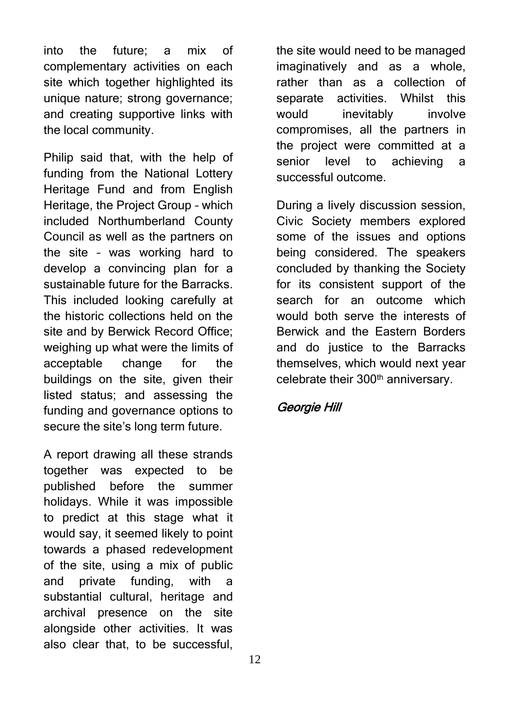into the future; a mix of complementary activities on each site which together highlighted its unique nature; strong governance; and creating supportive links with the local community.

Philip said that, with the help of funding from the National Lottery Heritage Fund and from English Heritage, the Project Group – which included Northumberland County Council as well as the partners on the site – was working hard to develop a convincing plan for a sustainable future for the Barracks. This included looking carefully at the historic collections held on the site and by Berwick Record Office; weighing up what were the limits of acceptable change for the buildings on the site, given their listed status; and assessing the funding and governance options to secure the site's long term future.

A report drawing all these strands together was expected to be published before the summer holidays. While it was impossible to predict at this stage what it would say, it seemed likely to point towards a phased redevelopment of the site, using a mix of public and private funding, with a substantial cultural, heritage and archival presence on the site alongside other activities. It was also clear that, to be successful,

the site would need to be managed imaginatively and as a whole, rather than as a collection of separate activities. Whilst this would inevitably involve compromises, all the partners in the project were committed at a senior level to achieving a successful outcome.

During a lively discussion session, Civic Society members explored some of the issues and options being considered. The speakers concluded by thanking the Society for its consistent support of the search for an outcome which would both serve the interests of Berwick and the Eastern Borders and do justice to the Barracks themselves, which would next year celebrate their 300<sup>th</sup> anniversary.

### Georgie Hill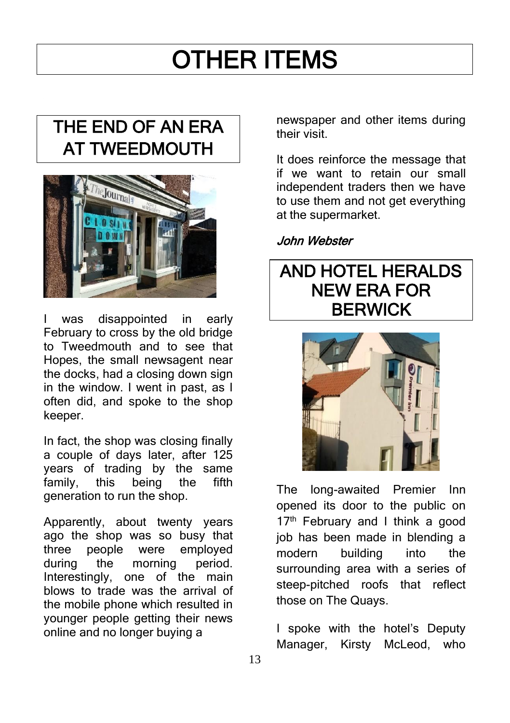# OTHER ITEMS

## THE END OF AN ERA AT TWEEDMOUTH



was disappointed in early February to cross by the old bridge to Tweedmouth and to see that Hopes, the small newsagent near the docks, had a closing down sign in the window. I went in past, as I often did, and spoke to the shop keeper.

In fact, the shop was closing finally a couple of days later, after 125 years of trading by the same family, this being the fifth generation to run the shop.

Apparently, about twenty years ago the shop was so busy that three people were employed during the morning period. Interestingly, one of the main blows to trade was the arrival of the mobile phone which resulted in younger people getting their news online and no longer buying a

newspaper and other items during their visit.

It does reinforce the message that if we want to retain our small independent traders then we have to use them and not get everything at the supermarket.

### John Webster

### AND HOTEL HERALDS NEW ERA FOR BERWICK



The long-awaited Premier Inn opened its door to the public on 17<sup>th</sup> February and I think a good job has been made in blending a modern building into the surrounding area with a series of steep-pitched roofs that reflect those on The Quays.

I spoke with the hotel's Deputy Manager, Kirsty McLeod, who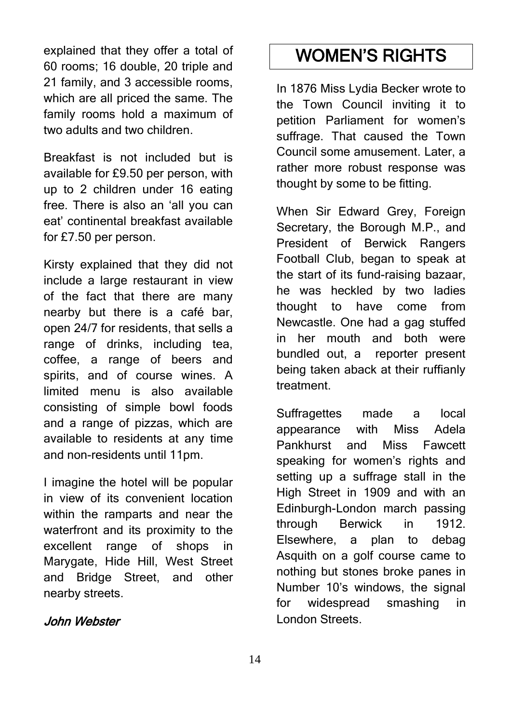explained that they offer a total of 60 rooms; 16 double, 20 triple and 21 family, and 3 accessible rooms, which are all priced the same. The family rooms hold a maximum of two adults and two children.

Breakfast is not included but is available for £9.50 per person, with up to 2 children under 16 eating free. There is also an 'all you can eat' continental breakfast available for £7.50 per person.

Kirsty explained that they did not include a large restaurant in view of the fact that there are many nearby but there is a café bar, open 24/7 for residents, that sells a range of drinks, including tea, coffee, a range of beers and spirits, and of course wines. A limited menu is also available consisting of simple bowl foods and a range of pizzas, which are available to residents at any time and non-residents until 11pm.

I imagine the hotel will be popular in view of its convenient location within the ramparts and near the waterfront and its proximity to the excellent range of shops in Marygate, Hide Hill, West Street and Bridge Street, and other nearby streets.

### John Webster

## WOMEN'S RIGHTS

In 1876 Miss Lydia Becker wrote to the Town Council inviting it to petition Parliament for women's suffrage. That caused the Town Council some amusement. Later, a rather more robust response was thought by some to be fitting.

When Sir Edward Grey, Foreign Secretary, the Borough M.P., and President of Berwick Rangers Football Club, began to speak at the start of its fund-raising bazaar, he was heckled by two ladies thought to have come from Newcastle. One had a gag stuffed in her mouth and both were bundled out, a reporter present being taken aback at their ruffianly treatment.

Suffragettes made a local appearance with Miss Adela Pankhurst and Miss Fawcett speaking for women's rights and setting up a suffrage stall in the High Street in 1909 and with an Edinburgh-London march passing through Berwick in 1912. Elsewhere, a plan to debag Asquith on a golf course came to nothing but stones broke panes in Number 10's windows, the signal for widespread smashing in London Streets.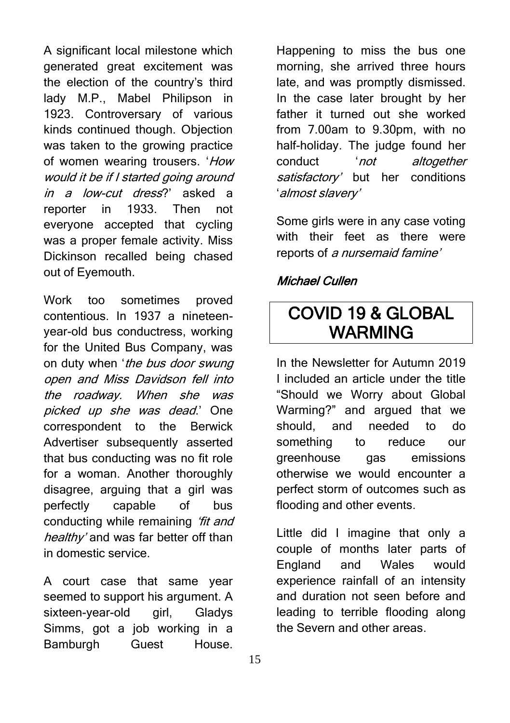A significant local milestone which generated great excitement was the election of the country's third lady M.P., Mabel Philipson in 1923. Controversary of various kinds continued though. Objection was taken to the growing practice of women wearing trousers. 'How would it be if I started going around in a low-cut dress?' asked a reporter in 1933. Then not everyone accepted that cycling was a proper female activity. Miss Dickinson recalled being chased out of Eyemouth.

Work too sometimes proved contentious. In 1937 a nineteenyear-old bus conductress, working for the United Bus Company, was on duty when 'the bus door swung open and Miss Davidson fell into the roadway. When she was picked up she was dead.' One correspondent to the Berwick Advertiser subsequently asserted that bus conducting was no fit role for a woman. Another thoroughly disagree, arguing that a girl was perfectly capable of bus conducting while remaining 'fit and healthy' and was far better off than in domestic service.

A court case that same year seemed to support his argument. A sixteen-year-old girl, Gladys Simms, got a job working in a Bamburgh Guest House.

Happening to miss the bus one morning, she arrived three hours late, and was promptly dismissed. In the case later brought by her father it turned out she worked from 7.00am to 9.30pm, with no half-holiday. The judge found her conduct 'not altogether satisfactory' but her conditions 'almost slavery'

Some girls were in any case voting with their feet as there were reports of a nursemaid famine'

### Michael Cullen

### COVID 19 & GLOBAL WARMING

In the Newsletter for Autumn 2019 I included an article under the title "Should we Worry about Global Warming?" and argued that we should, and needed to do something to reduce our greenhouse gas emissions otherwise we would encounter a perfect storm of outcomes such as flooding and other events.

Little did I imagine that only a couple of months later parts of England and Wales would experience rainfall of an intensity and duration not seen before and leading to terrible flooding along the Severn and other areas.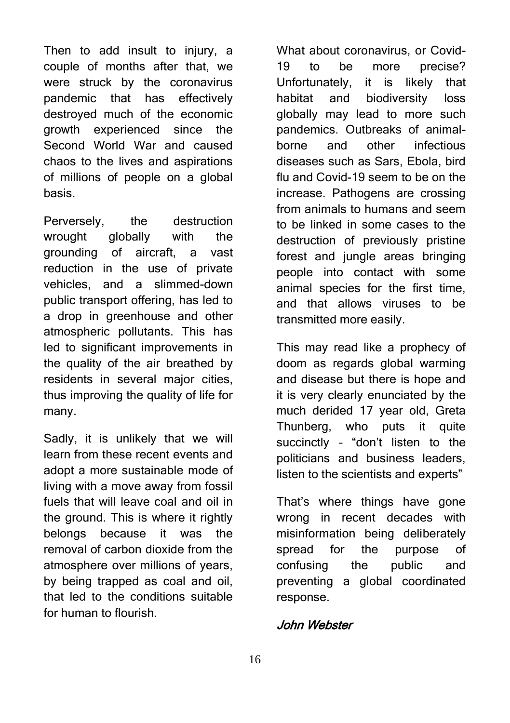Then to add insult to injury, a couple of months after that, we were struck by the coronavirus pandemic that has effectively destroyed much of the economic growth experienced since the Second World War and caused chaos to the lives and aspirations of millions of people on a global basis.

Perversely, the destruction wrought globally with the grounding of aircraft, a vast reduction in the use of private vehicles, and a slimmed-down public transport offering, has led to a drop in greenhouse and other atmospheric pollutants. This has led to significant improvements in the quality of the air breathed by residents in several major cities, thus improving the quality of life for many.

Sadly, it is unlikely that we will learn from these recent events and adopt a more sustainable mode of living with a move away from fossil fuels that will leave coal and oil in the ground. This is where it rightly belongs because it was the removal of carbon dioxide from the atmosphere over millions of years, by being trapped as coal and oil, that led to the conditions suitable for human to flourish.

What about coronavirus, or Covid-19 to be more precise? Unfortunately, it is likely that habitat and biodiversity loss globally may lead to more such pandemics. Outbreaks of animalborne and other infectious diseases such as Sars, Ebola, bird flu and Covid-19 seem to be on the increase. Pathogens are crossing from animals to humans and seem to be linked in some cases to the destruction of previously pristine forest and jungle areas bringing people into contact with some animal species for the first time, and that allows viruses to be transmitted more easily.

This may read like a prophecy of doom as regards global warming and disease but there is hope and it is very clearly enunciated by the much derided 17 year old, Greta Thunberg, who puts it quite succinctly – "don't listen to the politicians and business leaders, listen to the scientists and experts"

That's where things have gone wrong in recent decades with misinformation being deliberately spread for the purpose of confusing the public and preventing a global coordinated response.

### John Webster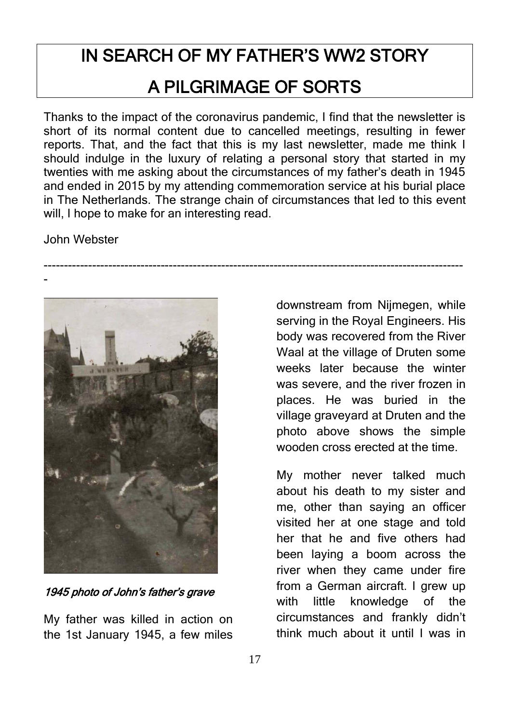## IN SEARCH OF MY FATHER'S WW2 STORY A PILGRIMAGE OF SORTS

Thanks to the impact of the coronavirus pandemic, I find that the newsletter is short of its normal content due to cancelled meetings, resulting in fewer reports. That, and the fact that this is my last newsletter, made me think I should indulge in the luxury of relating a personal story that started in my twenties with me asking about the circumstances of my father's death in 1945 and ended in 2015 by my attending commemoration service at his burial place in The Netherlands. The strange chain of circumstances that led to this event will, I hope to make for an interesting read.

--------------------------------------------------------------------------------------------------------

John Webster



1945 photo of John's father's grave

My father was killed in action on the 1st January 1945, a few miles

downstream from Nijmegen, while serving in the Royal Engineers. His body was recovered from the River Waal at the village of Druten some weeks later because the winter was severe, and the river frozen in places. He was buried in the village graveyard at Druten and the photo above shows the simple wooden cross erected at the time.

My mother never talked much about his death to my sister and me, other than saying an officer visited her at one stage and told her that he and five others had been laying a boom across the river when they came under fire from a German aircraft. I grew up with little knowledge of the circumstances and frankly didn't think much about it until I was in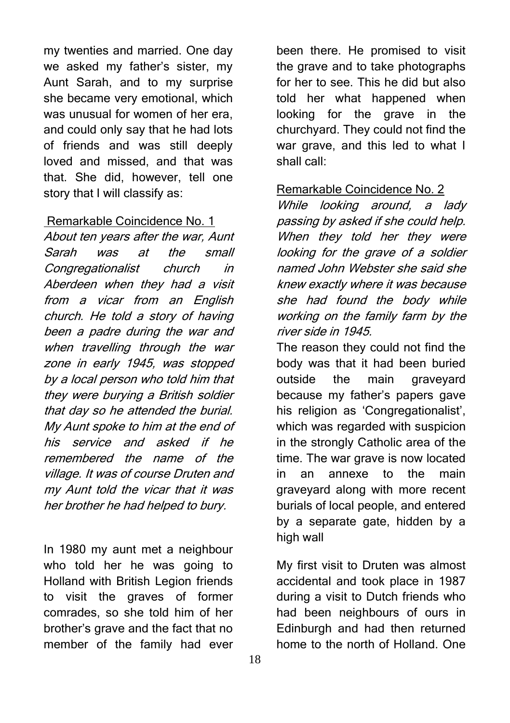my twenties and married. One day we asked my father's sister, my Aunt Sarah, and to my surprise she became very emotional, which was unusual for women of her era, and could only say that he had lots of friends and was still deeply loved and missed, and that was that. She did, however, tell one story that I will classify as:

### Remarkable Coincidence No. 1

About ten years after the war, Aunt Sarah was at the small Congregationalist church in Aberdeen when they had a visit from a vicar from an English church. He told a story of having been a padre during the war and when travelling through the war zone in early 1945, was stopped by a local person who told him that they were burying a British soldier that day so he attended the burial. My Aunt spoke to him at the end of his service and asked if he remembered the name of the village. It was of course Druten and my Aunt told the vicar that it was her brother he had helped to bury.

In 1980 my aunt met a neighbour who told her he was going to Holland with British Legion friends to visit the graves of former comrades, so she told him of her brother's grave and the fact that no member of the family had ever

been there. He promised to visit the grave and to take photographs for her to see. This he did but also told her what happened when looking for the grave in the churchyard. They could not find the war grave, and this led to what I shall call:

#### Remarkable Coincidence No. 2

While looking around, a lady passing by asked if she could help. When they told her they were looking for the grave of a soldier named John Webster she said she knew exactly where it was because she had found the body while working on the family farm by the river side in 1945.

The reason they could not find the body was that it had been buried outside the main graveyard because my father's papers gave his religion as 'Congregationalist', which was regarded with suspicion in the strongly Catholic area of the time. The war grave is now located in an annexe to the main graveyard along with more recent burials of local people, and entered by a separate gate, hidden by a high wall

My first visit to Druten was almost accidental and took place in 1987 during a visit to Dutch friends who had been neighbours of ours in Edinburgh and had then returned home to the north of Holland. One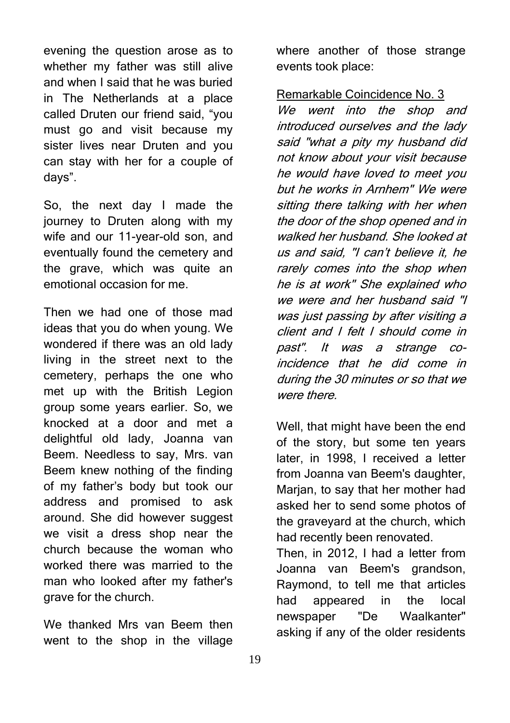evening the question arose as to whether my father was still alive and when I said that he was buried in The Netherlands at a place called Druten our friend said, "you must go and visit because my sister lives near Druten and you can stay with her for a couple of days".

So, the next day I made the journey to Druten along with my wife and our 11-year-old son, and eventually found the cemetery and the grave, which was quite an emotional occasion for me.

Then we had one of those mad ideas that you do when young. We wondered if there was an old lady living in the street next to the cemetery, perhaps the one who met up with the British Legion group some years earlier. So, we knocked at a door and met a delightful old lady, Joanna van Beem. Needless to say, Mrs. van Beem knew nothing of the finding of my father's body but took our address and promised to ask around. She did however suggest we visit a dress shop near the church because the woman who worked there was married to the man who looked after my father's grave for the church.

We thanked Mrs van Beem then went to the shop in the village where another of those strange events took place:

Remarkable Coincidence No. 3

We went into the shop and introduced ourselves and the lady said "what a pity my husband did not know about your visit because he would have loved to meet you but he works in Arnhem" We were sitting there talking with her when the door of the shop opened and in walked her husband. She looked at us and said, "I can't believe it, he rarely comes into the shop when he is at work" She explained who we were and her husband said "I was just passing by after visiting a client and I felt I should come in past". It was a strange coincidence that he did come in during the 30 minutes or so that we were there.

Well, that might have been the end of the story, but some ten years later, in 1998, I received a letter from Joanna van Beem's daughter, Marian, to say that her mother had asked her to send some photos of the graveyard at the church, which had recently been renovated.

Then, in 2012, I had a letter from Joanna van Beem's grandson, Raymond, to tell me that articles had appeared in the local newspaper "De Waalkanter" asking if any of the older residents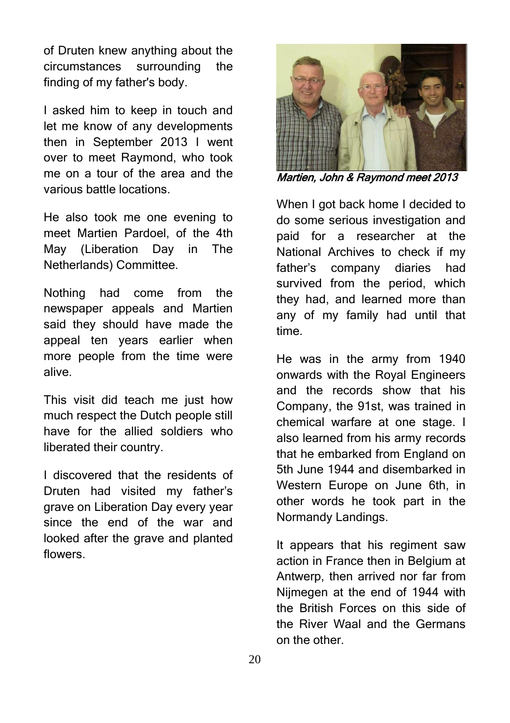of Druten knew anything about the circumstances surrounding the finding of my father's body.

I asked him to keep in touch and let me know of any developments then in September 2013 I went over to meet Raymond, who took me on a tour of the area and the various battle locations.

He also took me one evening to meet Martien Pardoel, of the 4th May (Liberation Day in The Netherlands) Committee.

Nothing had come from the newspaper appeals and Martien said they should have made the appeal ten years earlier when more people from the time were alive.

This visit did teach me just how much respect the Dutch people still have for the allied soldiers who liberated their country.

I discovered that the residents of Druten had visited my father's grave on Liberation Day every year since the end of the war and looked after the grave and planted flowers.



Martien, John & Raymond meet 2013

When I got back home I decided to do some serious investigation and paid for a researcher at the National Archives to check if my father's company diaries had survived from the period, which they had, and learned more than any of my family had until that time.

He was in the army from 1940 onwards with the Royal Engineers and the records show that his Company, the 91st, was trained in chemical warfare at one stage. I also learned from his army records that he embarked from England on 5th June 1944 and disembarked in Western Europe on June 6th, in other words he took part in the Normandy Landings.

It appears that his regiment saw action in France then in Belgium at Antwerp, then arrived nor far from Nijmegen at the end of 1944 with the British Forces on this side of the River Waal and the Germans on the other.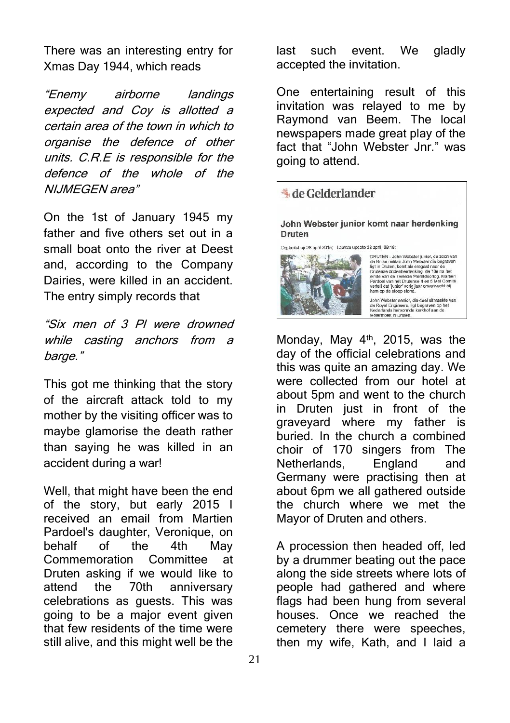There was an interesting entry for Xmas Day 1944, which reads

"Enemy airborne landings expected and Coy is allotted a certain area of the town in which to organise the defence of other units. C.R.E is responsible for the defence of the whole of the NIJMEGEN area"

On the 1st of January 1945 my father and five others set out in a small boat onto the river at Deest and, according to the Company Dairies, were killed in an accident. The entry simply records that

"Six men of 3 Pl were drowned while casting anchors from a barge."

This got me thinking that the story of the aircraft attack told to my mother by the visiting officer was to maybe glamorise the death rather than saying he was killed in an accident during a war!

Well, that might have been the end of the story, but early 2015 I received an email from Martien Pardoel's daughter, Veronique, on behalf of the 4th May Commemoration Committee at Druten asking if we would like to attend the 70th anniversary celebrations as guests. This was going to be a major event given that few residents of the time were still alive, and this might well be the

last such event. We gladly accepted the invitation.

One entertaining result of this invitation was relayed to me by Raymond van Beem. The local newspapers made great play of the fact that "John Webster Jnr." was going to attend.

### & de Gelderlander

John Webster junior komt naar herdenking Druten

Geniaatst op 28 april 2015: Laatste undate 28 april, 09:18:



ce apen, occurs and models and models and the District District District District District District District District District District District District District District District District District District District Distr

John Webster senior, die deel uitmaakte van<br>de Royal Engineers, ligt begraven op het<br>Nederlands hervormde kerkhof aan de<br>Molenhoek in Druten.

Monday, May 4<sup>th</sup>, 2015, was the day of the official celebrations and this was quite an amazing day. We were collected from our hotel at about 5pm and went to the church in Druten just in front of the graveyard where my father is buried. In the church a combined choir of 170 singers from The Netherlands, England and Germany were practising then at about 6pm we all gathered outside the church where we met the Mayor of Druten and others.

A procession then headed off, led by a drummer beating out the pace along the side streets where lots of people had gathered and where flags had been hung from several houses. Once we reached the cemetery there were speeches, then my wife, Kath, and I laid a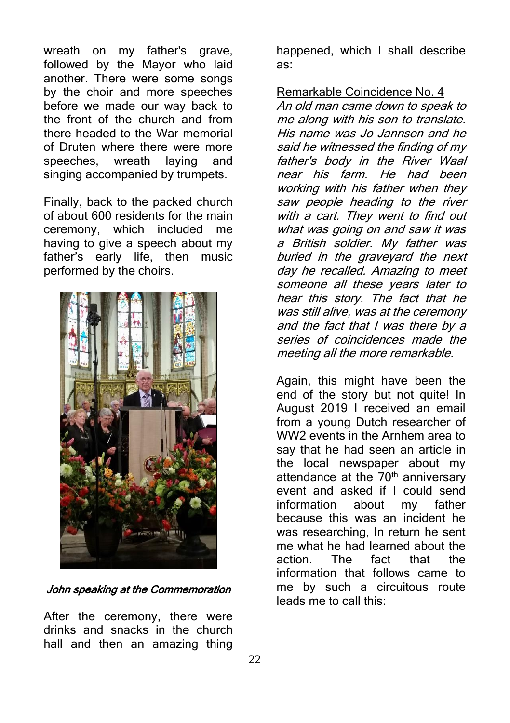wreath on my father's grave, followed by the Mayor who laid another. There were some songs by the choir and more speeches before we made our way back to the front of the church and from there headed to the War memorial of Druten where there were more speeches, wreath laying and singing accompanied by trumpets.

Finally, back to the packed church of about 600 residents for the main ceremony, which included me having to give a speech about my father's early life, then music performed by the choirs.



#### John speaking at the Commemoration

After the ceremony, there were drinks and snacks in the church hall and then an amazing thing

happened, which I shall describe as:

Remarkable Coincidence No. 4

An old man came down to speak to me along with his son to translate. His name was Jo Jannsen and he said he witnessed the finding of my father's body in the River Waal near his farm. He had been working with his father when they saw people heading to the river with a cart. They went to find out what was going on and saw it was a British soldier. My father was buried in the graveyard the next day he recalled. Amazing to meet someone all these years later to hear this story. The fact that he was still alive, was at the ceremony and the fact that I was there by a series of coincidences made the meeting all the more remarkable.

Again, this might have been the end of the story but not quite! In August 2019 I received an email from a young Dutch researcher of WW2 events in the Arnhem area to say that he had seen an article in the local newspaper about my attendance at the  $70<sup>th</sup>$  anniversary event and asked if I could send information about my father because this was an incident he was researching, In return he sent me what he had learned about the action. The fact that the information that follows came to me by such a circuitous route leads me to call this: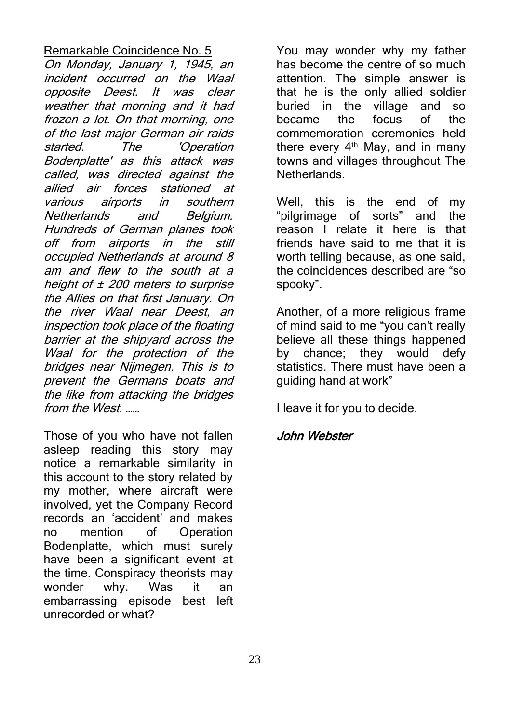### Remarkable Coincidence No. 5

On Monday, January 1, 1945, an incident occurred on the Waal opposite Deest. It was clear weather that morning and it had frozen a lot. On that morning, one of the last major German air raids started. The 'Operation Bodenplatte' as this attack was called, was directed against the allied air forces stationed at various airports in southern Netherlands and Belgium. Hundreds of German planes took off from airports in the still occupied Netherlands at around 8 am and flew to the south at a height of  $\pm$  200 meters to surprise the Allies on that first January. On the river Waal near Deest, an inspection took place of the floating barrier at the shipyard across the Waal for the protection of the bridges near Nijmegen. This is to prevent the Germans boats and the like from attacking the bridges from the West. ……

Those of you who have not fallen asleep reading this story may notice a remarkable similarity in this account to the story related by my mother, where aircraft were involved, yet the Company Record records an 'accident' and makes no mention of Operation Bodenplatte, which must surely have been a significant event at the time. Conspiracy theorists may wonder why. Was it an embarrassing episode best left unrecorded or what?

You may wonder why my father has become the centre of so much attention. The simple answer is that he is the only allied soldier buried in the village and so became the focus of the commemoration ceremonies held there every  $4<sup>th</sup>$  May, and in many towns and villages throughout The **Netherlands** 

Well, this is the end of my "pilgrimage of sorts" and the reason I relate it here is that friends have said to me that it is worth telling because, as one said, the coincidences described are "so spooky".

Another, of a more religious frame of mind said to me "you can't really believe all these things happened by chance; they would defy statistics. There must have been a guiding hand at work"

I leave it for you to decide.

### John Webster